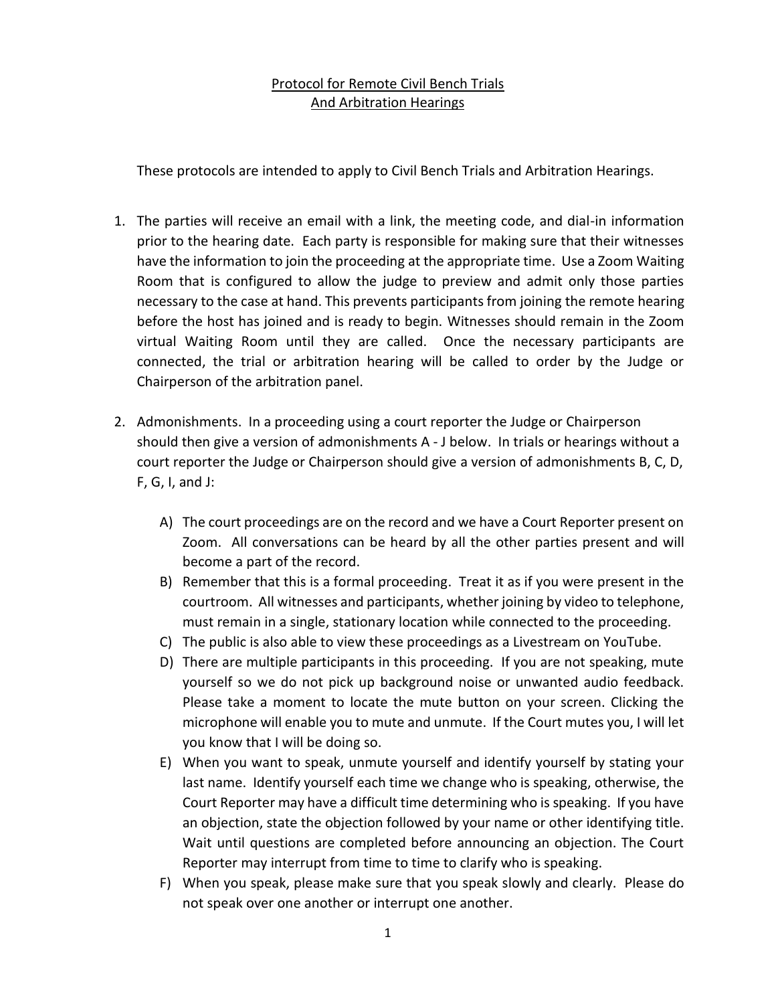## Protocol for Remote Civil Bench Trials And Arbitration Hearings

These protocols are intended to apply to Civil Bench Trials and Arbitration Hearings.

- 1. The parties will receive an email with a link, the meeting code, and dial-in information prior to the hearing date. Each party is responsible for making sure that their witnesses have the information to join the proceeding at the appropriate time. Use a Zoom Waiting Room that is configured to allow the judge to preview and admit only those parties necessary to the case at hand. This prevents participants from joining the remote hearing before the host has joined and is ready to begin. Witnesses should remain in the Zoom virtual Waiting Room until they are called. Once the necessary participants are connected, the trial or arbitration hearing will be called to order by the Judge or Chairperson of the arbitration panel.
- 2. Admonishments. In a proceeding using a court reporter the Judge or Chairperson should then give a version of admonishments A - J below. In trials or hearings without a court reporter the Judge or Chairperson should give a version of admonishments B, C, D,  $F, G, I, and J:$ 
	- A) The court proceedings are on the record and we have a Court Reporter present on Zoom. All conversations can be heard by all the other parties present and will become a part of the record.
	- B) Remember that this is a formal proceeding. Treat it as if you were present in the courtroom. All witnesses and participants, whether joining by video to telephone, must remain in a single, stationary location while connected to the proceeding.
	- C) The public is also able to view these proceedings as a Livestream on YouTube.
	- D) There are multiple participants in this proceeding. If you are not speaking, mute yourself so we do not pick up background noise or unwanted audio feedback. Please take a moment to locate the mute button on your screen. Clicking the microphone will enable you to mute and unmute. If the Court mutes you, I will let you know that I will be doing so.
	- E) When you want to speak, unmute yourself and identify yourself by stating your last name. Identify yourself each time we change who is speaking, otherwise, the Court Reporter may have a difficult time determining who is speaking. If you have an objection, state the objection followed by your name or other identifying title. Wait until questions are completed before announcing an objection. The Court Reporter may interrupt from time to time to clarify who is speaking.
	- F) When you speak, please make sure that you speak slowly and clearly. Please do not speak over one another or interrupt one another.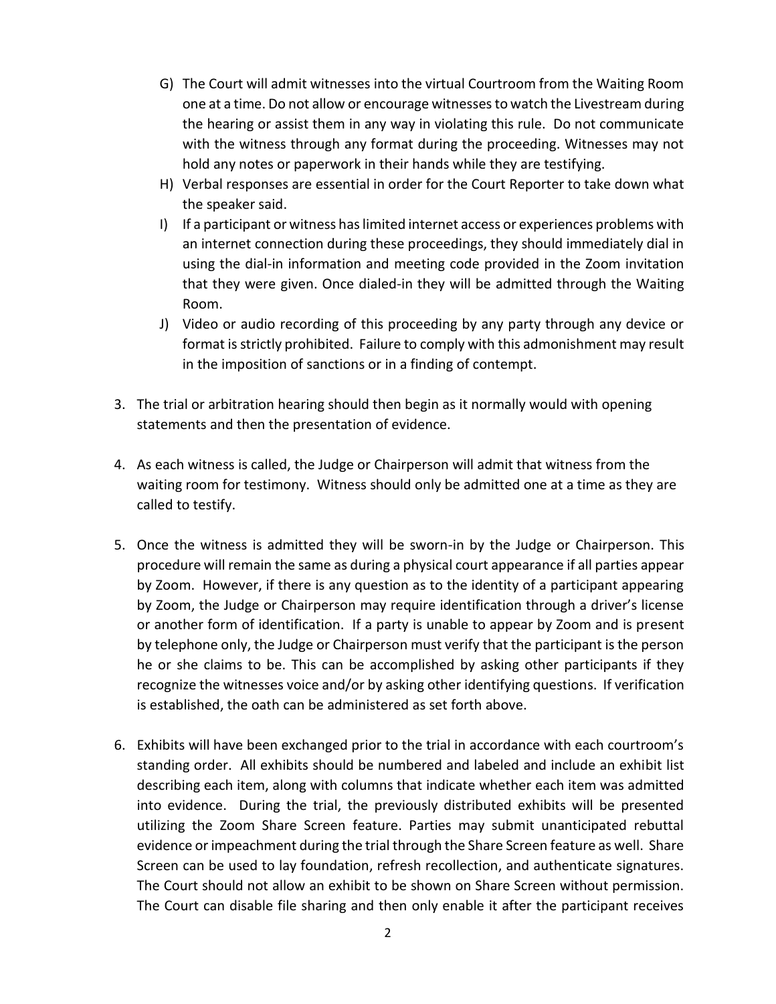- G) The Court will admit witnesses into the virtual Courtroom from the Waiting Room one at a time. Do not allow or encourage witnesses to watch the Livestream during the hearing or assist them in any way in violating this rule. Do not communicate with the witness through any format during the proceeding. Witnesses may not hold any notes or paperwork in their hands while they are testifying.
- H) Verbal responses are essential in order for the Court Reporter to take down what the speaker said.
- I) If a participant or witness has limited internet access or experiences problems with an internet connection during these proceedings, they should immediately dial in using the dial-in information and meeting code provided in the Zoom invitation that they were given. Once dialed-in they will be admitted through the Waiting Room.
- J) Video or audio recording of this proceeding by any party through any device or format is strictly prohibited. Failure to comply with this admonishment may result in the imposition of sanctions or in a finding of contempt.
- 3. The trial or arbitration hearing should then begin as it normally would with opening statements and then the presentation of evidence.
- 4. As each witness is called, the Judge or Chairperson will admit that witness from the waiting room for testimony. Witness should only be admitted one at a time as they are called to testify.
- 5. Once the witness is admitted they will be sworn-in by the Judge or Chairperson. This procedure will remain the same as during a physical court appearance if all parties appear by Zoom. However, if there is any question as to the identity of a participant appearing by Zoom, the Judge or Chairperson may require identification through a driver's license or another form of identification. If a party is unable to appear by Zoom and is present by telephone only, the Judge or Chairperson must verify that the participant is the person he or she claims to be. This can be accomplished by asking other participants if they recognize the witnesses voice and/or by asking other identifying questions. If verification is established, the oath can be administered as set forth above.
- 6. Exhibits will have been exchanged prior to the trial in accordance with each courtroom's standing order. All exhibits should be numbered and labeled and include an exhibit list describing each item, along with columns that indicate whether each item was admitted into evidence. During the trial, the previously distributed exhibits will be presented utilizing the Zoom Share Screen feature. Parties may submit unanticipated rebuttal evidence or impeachment during the trial through the Share Screen feature as well. Share Screen can be used to lay foundation, refresh recollection, and authenticate signatures. The Court should not allow an exhibit to be shown on Share Screen without permission. The Court can disable file sharing and then only enable it after the participant receives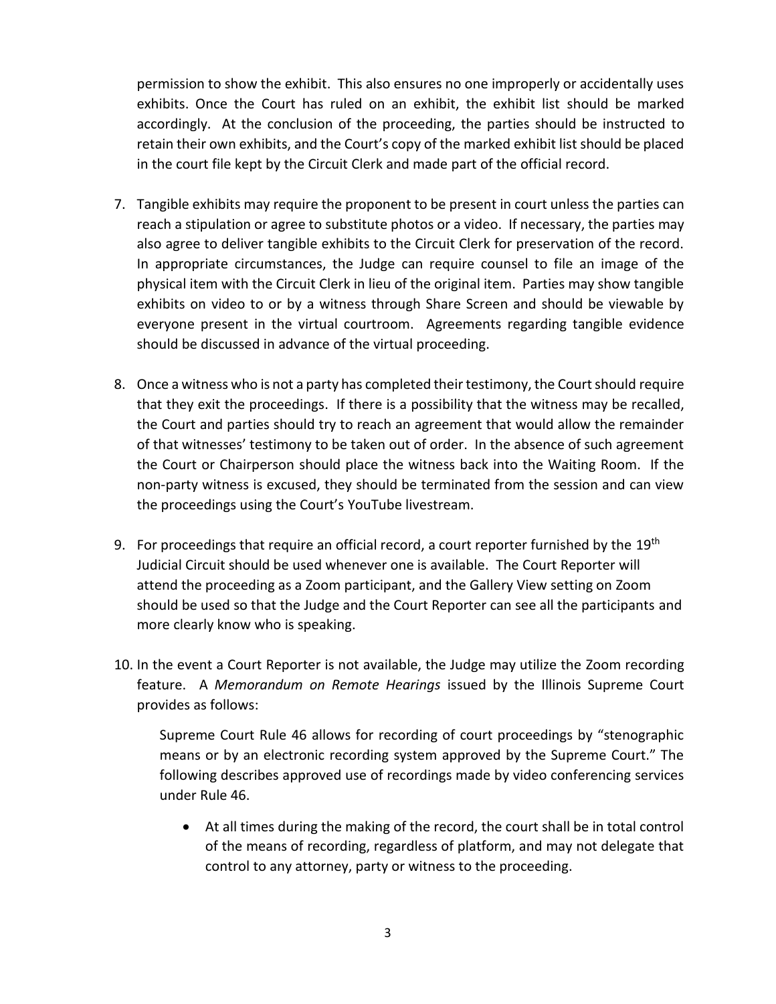permission to show the exhibit. This also ensures no one improperly or accidentally uses exhibits. Once the Court has ruled on an exhibit, the exhibit list should be marked accordingly. At the conclusion of the proceeding, the parties should be instructed to retain their own exhibits, and the Court's copy of the marked exhibit list should be placed in the court file kept by the Circuit Clerk and made part of the official record.

- 7. Tangible exhibits may require the proponent to be present in court unless the parties can reach a stipulation or agree to substitute photos or a video. If necessary, the parties may also agree to deliver tangible exhibits to the Circuit Clerk for preservation of the record. In appropriate circumstances, the Judge can require counsel to file an image of the physical item with the Circuit Clerk in lieu of the original item. Parties may show tangible exhibits on video to or by a witness through Share Screen and should be viewable by everyone present in the virtual courtroom. Agreements regarding tangible evidence should be discussed in advance of the virtual proceeding.
- 8. Once a witness who is not a party has completed their testimony, the Court should require that they exit the proceedings. If there is a possibility that the witness may be recalled, the Court and parties should try to reach an agreement that would allow the remainder of that witnesses' testimony to be taken out of order. In the absence of such agreement the Court or Chairperson should place the witness back into the Waiting Room. If the non-party witness is excused, they should be terminated from the session and can view the proceedings using the Court's YouTube livestream.
- 9. For proceedings that require an official record, a court reporter furnished by the  $19<sup>th</sup>$ Judicial Circuit should be used whenever one is available. The Court Reporter will attend the proceeding as a Zoom participant, and the Gallery View setting on Zoom should be used so that the Judge and the Court Reporter can see all the participants and more clearly know who is speaking.
- 10. In the event a Court Reporter is not available, the Judge may utilize the Zoom recording feature. A *Memorandum on Remote Hearings* issued by the Illinois Supreme Court provides as follows:

[Supreme Court Rule 46](http://www.illinoiscourts.gov/SupremeCourt/Rules/Art_I/ArtI.htm#46) allows for recording of court proceedings by "stenographic means or by an electronic recording system approved by the Supreme Court." The following describes approved use of recordings made by video conferencing services under Rule 46.

• At all times during the making of the record, the court shall be in total control of the means of recording, regardless of platform, and may not delegate that control to any attorney, party or witness to the proceeding.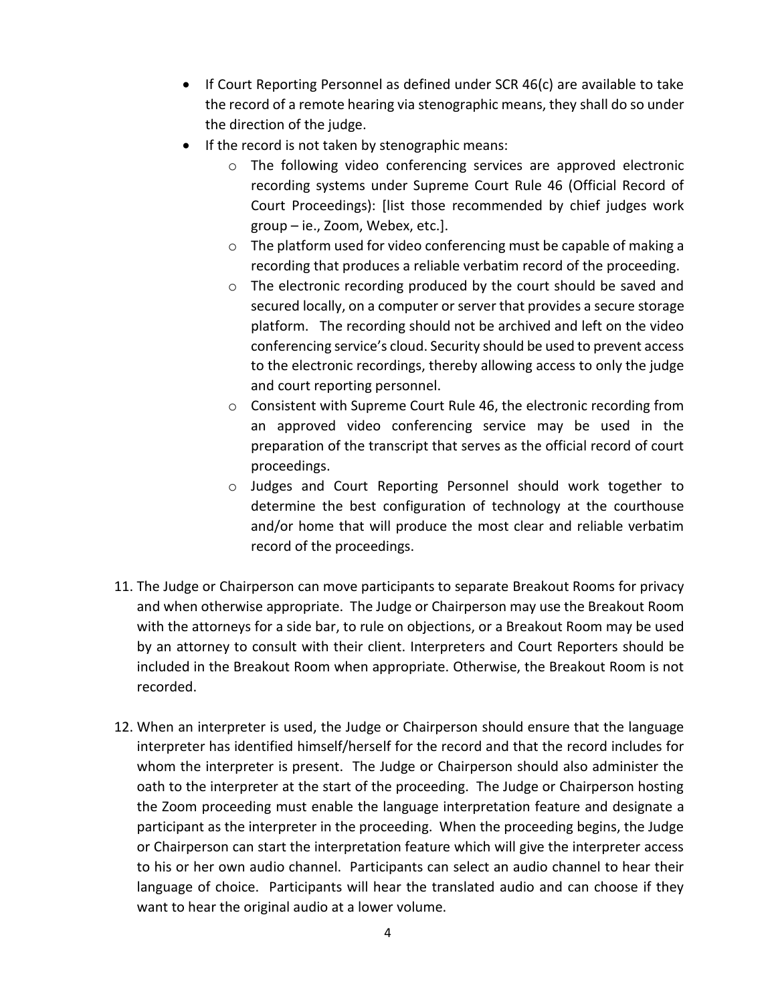- If Court Reporting Personnel as defined under SCR 46(c) are available to take the record of a remote hearing via stenographic means, they shall do so under the direction of the judge.
- If the record is not taken by stenographic means:
	- o The following video conferencing services are approved electronic recording systems under Supreme Court Rule 46 (Official Record of Court Proceedings): [list those recommended by chief judges work group – ie., Zoom, Webex, etc.].
	- o The platform used for video conferencing must be capable of making a recording that produces a reliable verbatim record of the proceeding.
	- o The electronic recording produced by the court should be saved and secured locally, on a computer or server that provides a secure storage platform. The recording should not be archived and left on the video conferencing service's cloud. Security should be used to prevent access to the electronic recordings, thereby allowing access to only the judge and court reporting personnel.
	- o Consistent with Supreme Court Rule 46, the electronic recording from an approved video conferencing service may be used in the preparation of the transcript that serves as the official record of court proceedings.
	- o Judges and Court Reporting Personnel should work together to determine the best configuration of technology at the courthouse and/or home that will produce the most clear and reliable verbatim record of the proceedings.
- 11. The Judge or Chairperson can move participants to separate Breakout Rooms for privacy and when otherwise appropriate. The Judge or Chairperson may use the Breakout Room with the attorneys for a side bar, to rule on objections, or a Breakout Room may be used by an attorney to consult with their client. Interpreters and Court Reporters should be included in the Breakout Room when appropriate. Otherwise, the Breakout Room is not recorded.
- 12. When an interpreter is used, the Judge or Chairperson should ensure that the language interpreter has identified himself/herself for the record and that the record includes for whom the interpreter is present. The Judge or Chairperson should also administer the oath to the interpreter at the start of the proceeding. The Judge or Chairperson hosting the Zoom proceeding must enable the language interpretation feature and designate a participant as the interpreter in the proceeding. When the proceeding begins, the Judge or Chairperson can start the interpretation feature which will give the interpreter access to his or her own audio channel. Participants can select an audio channel to hear their language of choice. Participants will hear the translated audio and can choose if they want to hear the original audio at a lower volume.